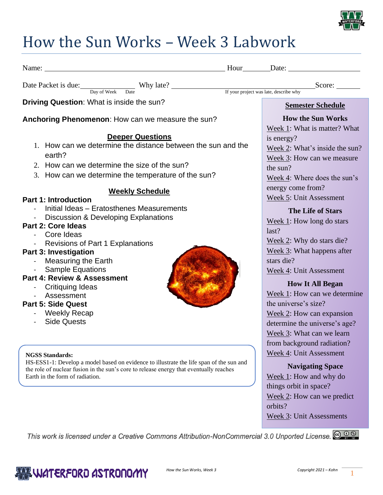

## How the Sun Works – Week 3 Labwork

| Name: Name: Name: Name: Name: Name: Name: Name: Name: Name: Name: Name: Name: Name: Name: Name: Name: Name: Name: Name: Name: Name: Name: Name: Name: Name: Name: Name: Name: Name: Name: Name: Name: Name: Name: Name: Name:                                                                                                                                                                                                 |                                                                                                                                                                                                                                                                                                                                                                                      |
|-------------------------------------------------------------------------------------------------------------------------------------------------------------------------------------------------------------------------------------------------------------------------------------------------------------------------------------------------------------------------------------------------------------------------------|--------------------------------------------------------------------------------------------------------------------------------------------------------------------------------------------------------------------------------------------------------------------------------------------------------------------------------------------------------------------------------------|
|                                                                                                                                                                                                                                                                                                                                                                                                                               |                                                                                                                                                                                                                                                                                                                                                                                      |
|                                                                                                                                                                                                                                                                                                                                                                                                                               |                                                                                                                                                                                                                                                                                                                                                                                      |
| Driving Question: What is inside the sun?                                                                                                                                                                                                                                                                                                                                                                                     | <b>Semester Schedule</b>                                                                                                                                                                                                                                                                                                                                                             |
| Anchoring Phenomenon: How can we measure the sun?                                                                                                                                                                                                                                                                                                                                                                             | <b>How the Sun Works</b><br>Week 1: What is matter? What                                                                                                                                                                                                                                                                                                                             |
| <b>Deeper Questions</b>                                                                                                                                                                                                                                                                                                                                                                                                       |                                                                                                                                                                                                                                                                                                                                                                                      |
| 1. How can we determine the distance between the sun and the<br>earth?<br>2. How can we determine the size of the sun?<br>3. How can we determine the temperature of the sun?                                                                                                                                                                                                                                                 | is energy?<br>Week 2: What's inside the sun?<br>Week 3: How can we measure<br>the sun?<br>Week 4: Where does the sun's                                                                                                                                                                                                                                                               |
|                                                                                                                                                                                                                                                                                                                                                                                                                               | energy come from?                                                                                                                                                                                                                                                                                                                                                                    |
| <b>Weekly Schedule</b>                                                                                                                                                                                                                                                                                                                                                                                                        | Week 5: Unit Assessment                                                                                                                                                                                                                                                                                                                                                              |
| <b>Part 1: Introduction</b><br>Initial Ideas - Eratosthenes Measurements<br>- Discussion & Developing Explanations<br>Part 2: Core Ideas<br>- Core Ideas<br>- Revisions of Part 1 Explanations<br><b>Part 3: Investigation</b><br>- Measuring the Earth<br>- Sample Equations<br><b>Part 4: Review &amp; Assessment</b><br>- Critiquing Ideas<br>- Assessment<br><b>Part 5: Side Quest</b><br>- Weekly Recap<br>- Side Quests | <b>The Life of Stars</b><br>Week $1$ : How long do stars<br>last?<br>Week 2: Why do stars die?<br>Week 3: What happens after<br>stars die?<br>Week 4: Unit Assessment<br><b>How It All Began</b><br>Week 1: How can we determine<br>the universe's size?<br>Week $2$ : How can expansion<br>determine the universe's age?<br>Week 3: What can we learn<br>from background radiation? |
| <b>NGSS Standards:</b><br>HS-ESS1-1: Develop a model based on evidence to illustrate the life span of the sun and<br>the role of nuclear fusion in the sun's core to release energy that eventually reaches<br>Earth in the form of radiation.                                                                                                                                                                                | Week 4: Unit Assessment<br><b>Navigating Space</b><br>Week 1: How and why do<br>things orbit in space?<br>Week 2: How can we predict<br>orbits?<br>Week 3: Unit Assessments                                                                                                                                                                                                          |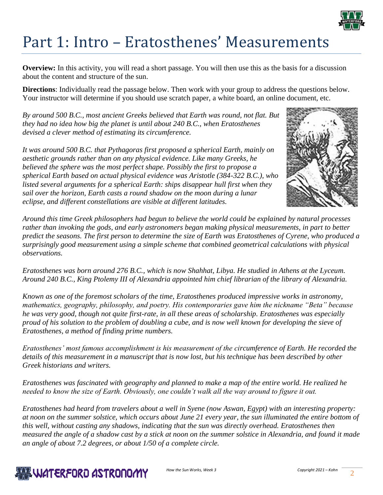

## Part 1: Intro – Eratosthenes' Measurements

**Overview:** In this activity, you will read a short passage. You will then use this as the basis for a discussion about the content and structure of the sun.

**Directions**: Individually read the passage below. Then work with your group to address the questions below. Your instructor will determine if you should use scratch paper, a white board, an online document, etc.

*By around 500 B.C., most ancient Greeks believed that Earth was round, not flat. But they had no idea how big the planet is until about 240 B.C., when Eratosthenes devised a clever method of estimating its circumference.*

*It was around 500 B.C. that Pythagoras first proposed a spherical Earth, mainly on aesthetic grounds rather than on any physical evidence. Like many Greeks, he believed the sphere was the most perfect shape. Possibly the first to propose a spherical Earth based on actual physical evidence was Aristotle (384-322 B.C.), who listed several arguments for a spherical Earth: ships disappear hull first when they sail over the horizon, Earth casts a round shadow on the moon during a lunar eclipse, and different constellations are visible at different latitudes.*



*Around this time Greek philosophers had begun to believe the world could be explained by natural processes rather than invoking the gods, and early astronomers began making physical measurements, in part to better predict the seasons. The first person to determine the size of Earth was Eratosthenes of Cyrene, who produced a surprisingly good measurement using a simple scheme that combined geometrical calculations with physical observations.*

*Eratosthenes was born around 276 B.C., which is now Shahhat, Libya. He studied in Athens at the Lyceum. Around 240 B.C., King Ptolemy III of Alexandria appointed him chief librarian of the library of Alexandria.*

*Known as one of the foremost scholars of the time, Eratosthenes produced impressive works in astronomy, mathematics, geography, philosophy, and poetry. His contemporaries gave him the nickname "Beta" because he was very good, though not quite first-rate, in all these areas of scholarship. Eratosthenes was especially proud of his solution to the problem of doubling a cube, and is now well known for developing the sieve of Eratosthenes, a method of finding prime numbers.*

*Eratosthenes' most famous accomplishment is his measurement of the circumference of Earth. He recorded the details of this measurement in a manuscript that is now lost, but his technique has been described by other Greek historians and writers.*

*Eratosthenes was fascinated with geography and planned to make a map of the entire world. He realized he needed to know the size of Earth. Obviously, one couldn't walk all the way around to figure it out.*

*Eratosthenes had heard from travelers about a well in Syene (now Aswan, Egypt) with an interesting property: at noon on the summer solstice, which occurs about June 21 every year, the sun illuminated the entire bottom of this well, without casting any shadows, indicating that the sun was directly overhead. Eratosthenes then measured the angle of a shadow cast by a stick at noon on the summer solstice in Alexandria, and found it made an angle of about 7.2 degrees, or about 1/50 of a complete circle.*

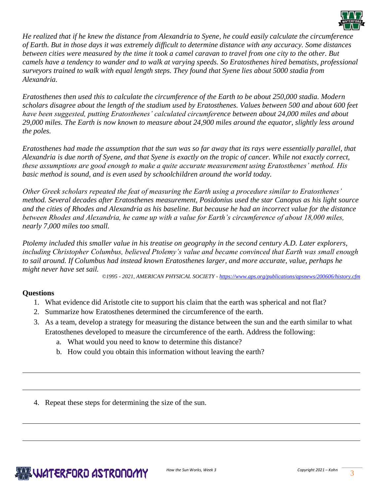

*He realized that if he knew the distance from Alexandria to Syene, he could easily calculate the circumference of Earth. But in those days it was extremely difficult to determine distance with any accuracy. Some distances between cities were measured by the time it took a camel caravan to travel from one city to the other. But camels have a tendency to wander and to walk at varying speeds. So Eratosthenes hired bematists, professional surveyors trained to walk with equal length steps. They found that Syene lies about 5000 stadia from Alexandria.*

*Eratosthenes then used this to calculate the circumference of the Earth to be about 250,000 stadia. Modern scholars disagree about the length of the stadium used by Eratosthenes. Values between 500 and about 600 feet have been suggested, putting Eratosthenes' calculated circumference between about 24,000 miles and about 29,000 miles. The Earth is now known to measure about 24,900 miles around the equator, slightly less around the poles.*

*Eratosthenes had made the assumption that the sun was so far away that its rays were essentially parallel, that Alexandria is due north of Syene, and that Syene is exactly on the tropic of cancer. While not exactly correct, these assumptions are good enough to make a quite accurate measurement using Eratosthenes' method. His basic method is sound, and is even used by schoolchildren around the world today.*

*Other Greek scholars repeated the feat of measuring the Earth using a procedure similar to Eratosthenes' method. Several decades after Eratosthenes measurement, Posidonius used the star Canopus as his light source and the cities of Rhodes and Alexandria as his baseline. But because he had an incorrect value for the distance between Rhodes and Alexandria, he came up with a value for Earth's circumference of about 18,000 miles, nearly 7,000 miles too small.*

*Ptolemy included this smaller value in his treatise on geography in the second century A.D. Later explorers, including Christopher Columbus, believed Ptolemy's value and became convinced that Earth was small enough to sail around. If Columbus had instead known Eratosthenes larger, and more accurate, value, perhaps he might never have set sail.*

*©1995 - 2021, AMERICAN PHYSICAL SOCIETY - <https://www.aps.org/publications/apsnews/200606/history.cfm>*

#### **Questions**

- 1. What evidence did Aristotle cite to support his claim that the earth was spherical and not flat?
- 2. Summarize how Eratosthenes determined the circumference of the earth.
- 3. As a team, develop a strategy for measuring the distance between the sun and the earth similar to what Eratosthenes developed to measure the circumference of the earth. Address the following:
	- a. What would you need to know to determine this distance?
	- b. How could you obtain this information without leaving the earth?
- 4. Repeat these steps for determining the size of the sun.

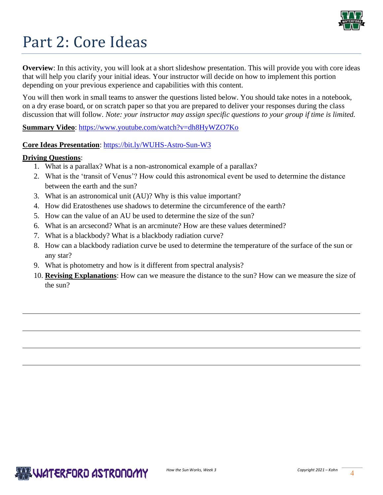

# Part 2: Core Ideas

**Overview**: In this activity, you will look at a short slideshow presentation. This will provide you with core ideas that will help you clarify your initial ideas. Your instructor will decide on how to implement this portion depending on your previous experience and capabilities with this content.

You will then work in small teams to answer the questions listed below. You should take notes in a notebook, on a dry erase board, or on scratch paper so that you are prepared to deliver your responses during the class discussion that will follow. *Note: your instructor may assign specific questions to your group if time is limited.* 

**Summary Video**:<https://www.youtube.com/watch?v=dh8HyWZO7Ko>

#### **Core Ideas Presentation**: <https://bit.ly/WUHS-Astro-Sun-W3>

#### **Driving Questions**:

- 1. What is a parallax? What is a non-astronomical example of a parallax?
- 2. What is the 'transit of Venus'? How could this astronomical event be used to determine the distance between the earth and the sun?
- 3. What is an astronomical unit (AU)? Why is this value important?
- 4. How did Eratosthenes use shadows to determine the circumference of the earth?
- 5. How can the value of an AU be used to determine the size of the sun?
- 6. What is an arcsecond? What is an arcminute? How are these values determined?
- 7. What is a blackbody? What is a blackbody radiation curve?
- 8. How can a blackbody radiation curve be used to determine the temperature of the surface of the sun or any star?
- 9. What is photometry and how is it different from spectral analysis?
- 10. **Revising Explanations**: How can we measure the distance to the sun? How can we measure the size of the sun?

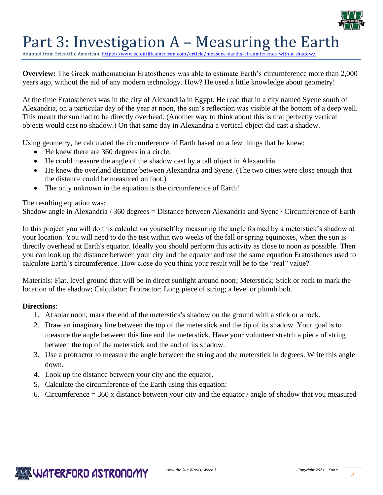

### Part 3: Investigation A – Measuring the Earth

Adapted from Scientific American: https://www.scientificamerican.com/article/measure-earths-circumference-with-

**Overview:** The Greek mathematician Eratosthenes was able to estimate Earth's circumference more than 2,000 years ago, without the aid of any modern technology. How? He used a little knowledge about geometry!

At the time Eratosthenes was in the city of Alexandria in Egypt. He read that in a city named Syene south of Alexandria, on a particular day of the year at noon, the sun's reflection was visible at the bottom of a deep well. This meant the sun had to be directly overhead. (Another way to think about this is that perfectly vertical objects would cast no shadow.) On that same day in Alexandria a vertical object did cast a shadow.

Using geometry, he calculated the circumference of Earth based on a few things that he knew:

- He knew there are 360 degrees in a circle.
- He could measure the angle of the shadow cast by a tall object in Alexandria.
- He knew the overland distance between Alexandria and Syene. (The two cities were close enough that the distance could be measured on foot.)
- The only unknown in the equation is the circumference of Earth!

#### The resulting equation was:

Shadow angle in Alexandria / 360 degrees = Distance between Alexandria and Syene / Circumference of Earth

In this project you will do this calculation yourself by measuring the angle formed by a meterstick's shadow at your location. You will need to do the test within two weeks of the fall or spring equinoxes, when the sun is directly overhead at Earth's equator. Ideally you should perform this activity as close to noon as possible. Then you can look up the distance between your city and the equator and use the same equation Eratosthenes used to calculate Earth's circumference. How close do you think your result will be to the "real" value?

Materials: Flat, level ground that will be in direct sunlight around noon; Meterstick; Stick or rock to mark the location of the shadow; Calculator; Protractor; Long piece of string; a level or plumb bob.

#### **Directions**:

- 1. At solar noon, mark the end of the meterstick's shadow on the ground with a stick or a rock.
- 2. Draw an imaginary line between the top of the meterstick and the tip of its shadow. Your goal is to measure the angle between this line and the meterstick. Have your volunteer stretch a piece of string between the top of the meterstick and the end of its shadow.
- 3. Use a protractor to measure the angle between the string and the meterstick in degrees. Write this angle down.
- 4. Look up the distance between your city and the equator.
- 5. Calculate the circumference of the Earth using this equation:
- 6. Circumference  $= 360$  x distance between your city and the equator / angle of shadow that you measured

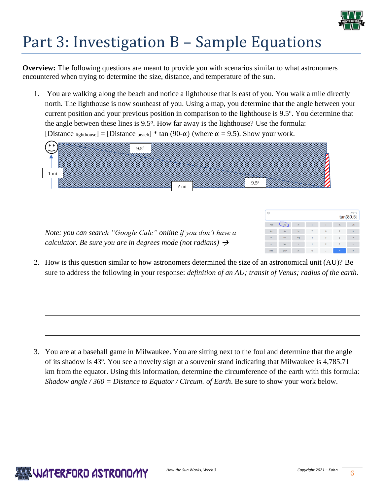

# Part 3: Investigation B – Sample Equations

**Overview:** The following questions are meant to provide you with scenarios similar to what astronomers encountered when trying to determine the size, distance, and temperature of the sun.

1. You are walking along the beach and notice a lighthouse that is east of you. You walk a mile directly north. The lighthouse is now southeast of you. Using a map, you determine that the angle between your current position and your previous position in comparison to the lighthouse is 9.5°. You determine that the angle between these lines is 9.5°. How far away is the lighthouse? Use the formula: [Distance lighthouse] = [Distance beach]  $*$  tan (90- $\alpha$ ) (where  $\alpha$  = 9.5). Show your work.



*Note: you can search "Google Calc" online if you don't have a calculator. Be sure you are in degrees mode (not radians)* 

| $Ans = 0$<br>⊕<br>tan(80.5) |                  |                          |                |                |                |                |
|-----------------------------|------------------|--------------------------|----------------|----------------|----------------|----------------|
| Rad                         | Deg <sup>7</sup> | $\mathbf{x}^{\parallel}$ | $\epsilon$     |                | %              | CE             |
| Inv                         | sin              | In                       | 7              | $\rm ^8$       | 9              |                |
| $\overline{\mathbf{u}}$     | cos              | log                      | $\overline{a}$ | 5              | 6              | $\pmb{\times}$ |
| $\pmb{\mathsf{e}}$          | tan              | $\sqrt{ }$               | ŧ              | $\overline{2}$ | $\overline{3}$ | -              |
| Ans                         | <b>EXP</b>       | $\chi^2$                 | $\bullet$      | ٠              | $\equiv$       |                |

2. How is this question similar to how astronomers determined the size of an astronomical unit (AU)? Be sure to address the following in your response: *definition of an AU; transit of Venus; radius of the earth.*

3. You are at a baseball game in Milwaukee. You are sitting next to the foul and determine that the angle of its shadow is 43°. You see a novelty sign at a souvenir stand indicating that Milwaukee is 4,785.71 km from the equator. Using this information, determine the circumference of the earth with this formula: *Shadow angle / 360 = Distance to Equator / Circum. of Earth*. Be sure to show your work below.

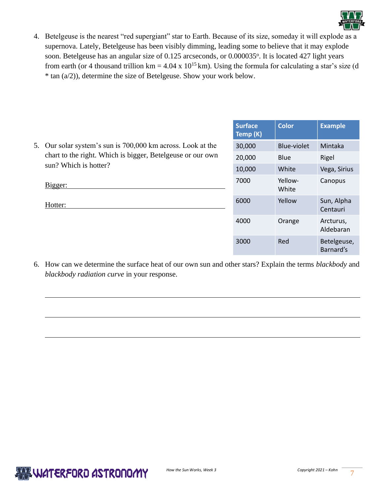

4. Betelgeuse is the nearest "red supergiant" star to Earth. Because of its size, someday it will explode as a supernova. Lately, Betelgeuse has been visibly dimming, leading some to believe that it may explode soon. Betelgeuse has an angular size of 0.125 arcseconds, or 0.000035°. It is located 427 light years from earth (or 4 thousand trillion km =  $4.04 \times 10^{15}$  km). Using the formula for calculating a star's size (d) \* tan (a/2)), determine the size of Betelgeuse. Show your work below.

|  |                                                                                                                                                    | <b>Surface</b><br>Temp (K) | <b>Color</b>       | <b>Example</b>           |
|--|----------------------------------------------------------------------------------------------------------------------------------------------------|----------------------------|--------------------|--------------------------|
|  | 5. Our solar system's sun is 700,000 km across. Look at the<br>chart to the right. Which is bigger, Betelgeuse or our own<br>sun? Which is hotter? | 30,000                     | <b>Blue-violet</b> | Mintaka                  |
|  |                                                                                                                                                    | 20,000                     | <b>Blue</b>        | Rigel                    |
|  |                                                                                                                                                    | 10,000                     | White              | Vega, Sirius             |
|  | Bigger:                                                                                                                                            | 7000                       | Yellow-<br>White   | Canopus                  |
|  | Hotter:                                                                                                                                            | 6000                       | Yellow             | Sun, Alpha<br>Centauri   |
|  |                                                                                                                                                    | 4000                       | Orange             | Arcturus,<br>Aldebaran   |
|  |                                                                                                                                                    | 3000                       | Red                | Betelgeuse,<br>Barnard's |

6. How can we determine the surface heat of our own sun and other stars? Explain the terms *blackbody* and *blackbody radiation curve* in your response.

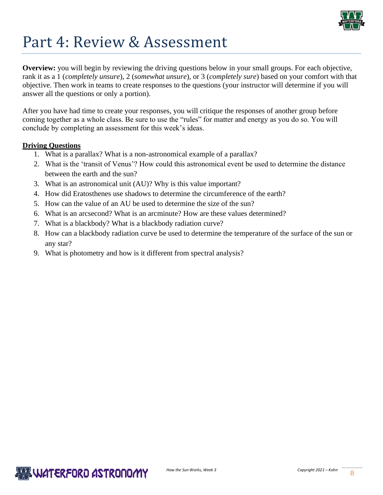

### Part 4: Review & Assessment

**Overview:** you will begin by reviewing the driving questions below in your small groups. For each objective, rank it as a 1 (*completely unsure*), 2 (*somewhat unsure*), or 3 (*completely sure*) based on your comfort with that objective. Then work in teams to create responses to the questions (your instructor will determine if you will answer all the questions or only a portion).

After you have had time to create your responses, you will critique the responses of another group before coming together as a whole class. Be sure to use the "rules" for matter and energy as you do so. You will conclude by completing an assessment for this week's ideas.

#### **Driving Questions**

- 1. What is a parallax? What is a non-astronomical example of a parallax?
- 2. What is the 'transit of Venus'? How could this astronomical event be used to determine the distance between the earth and the sun?
- 3. What is an astronomical unit (AU)? Why is this value important?
- 4. How did Eratosthenes use shadows to determine the circumference of the earth?
- 5. How can the value of an AU be used to determine the size of the sun?
- 6. What is an arcsecond? What is an arcminute? How are these values determined?
- 7. What is a blackbody? What is a blackbody radiation curve?
- 8. How can a blackbody radiation curve be used to determine the temperature of the surface of the sun or any star?
- 9. What is photometry and how is it different from spectral analysis?

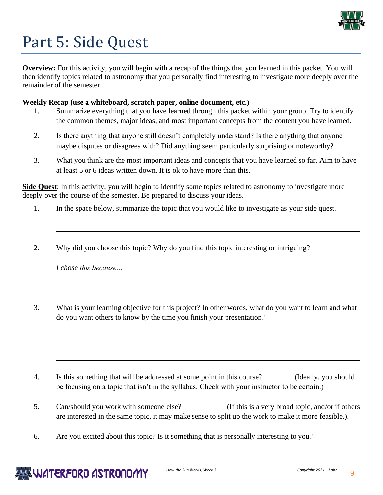

# Part 5: Side Quest

**Overview:** For this activity, you will begin with a recap of the things that you learned in this packet. You will then identify topics related to astronomy that you personally find interesting to investigate more deeply over the remainder of the semester.

#### **Weekly Recap (use a whiteboard, scratch paper, online document, etc.)**

- 1. Summarize everything that you have learned through this packet within your group. Try to identify the common themes, major ideas, and most important concepts from the content you have learned.
- 2. Is there anything that anyone still doesn't completely understand? Is there anything that anyone maybe disputes or disagrees with? Did anything seem particularly surprising or noteworthy?
- 3. What you think are the most important ideas and concepts that you have learned so far. Aim to have at least 5 or 6 ideas written down. It is ok to have more than this.

**Side Quest**: In this activity, you will begin to identify some topics related to astronomy to investigate more deeply over the course of the semester. Be prepared to discuss your ideas.

- 1. In the space below, summarize the topic that you would like to investigate as your side quest.
- 2. Why did you choose this topic? Why do you find this topic interesting or intriguing?

|  | I chose this because |  |
|--|----------------------|--|
|  |                      |  |

3. What is your learning objective for this project? In other words, what do you want to learn and what do you want others to know by the time you finish your presentation?

- 4. Is this something that will be addressed at some point in this course? (Ideally, you should be focusing on a topic that isn't in the syllabus. Check with your instructor to be certain.)
- 5. Can/should you work with someone else? (If this is a very broad topic, and/or if others are interested in the same topic, it may make sense to split up the work to make it more feasible.).
- 6. Are you excited about this topic? Is it something that is personally interesting to you?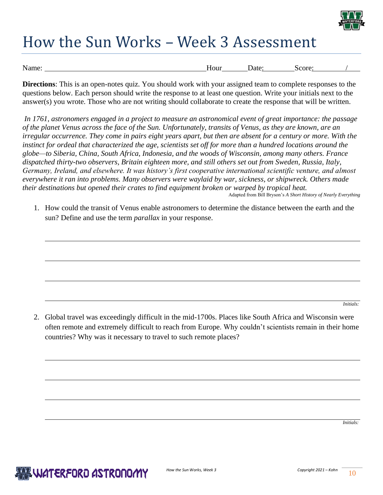

## How the Sun Works – Week 3 Assessment

| Name: | Hour | Jate: | Score: |  |
|-------|------|-------|--------|--|
|       |      |       |        |  |

**Directions**: This is an open-notes quiz. You should work with your assigned team to complete responses to the questions below. Each person should write the response to at least one question. Write your initials next to the answer(s) you wrote. Those who are not writing should collaborate to create the response that will be written.

*In 1761, astronomers engaged in a project to measure an astronomical event of great importance: the passage of the planet Venus across the face of the Sun. Unfortunately, transits of Venus, as they are known, are an irregular occurrence. They come in pairs eight years apart, but then are absent for a century or more. With the instinct for ordeal that characterized the age, scientists set off for more than a hundred locations around the globe—to Siberia, China, South Africa, Indonesia, and the woods of Wisconsin, among many others. France dispatched thirty-two observers, Britain eighteen more, and still others set out from Sweden, Russia, Italy, Germany, Ireland, and elsewhere. It was history's first cooperative international scientific venture, and almost everywhere it ran into problems. Many observers were waylaid by war, sickness, or shipwreck. Others made their destinations but opened their crates to find equipment broken or warped by tropical heat.*

Adapted from Bill Bryson's *A Short History of Nearly Everything*

1. How could the transit of Venus enable astronomers to determine the distance between the earth and the sun? Define and use the term *parallax* in your response.

*Initials:* 

2. Global travel was exceedingly difficult in the mid-1700s. Places like South Africa and Wisconsin were often remote and extremely difficult to reach from Europe. Why couldn't scientists remain in their home countries? Why was it necessary to travel to such remote places?

*Initials:*